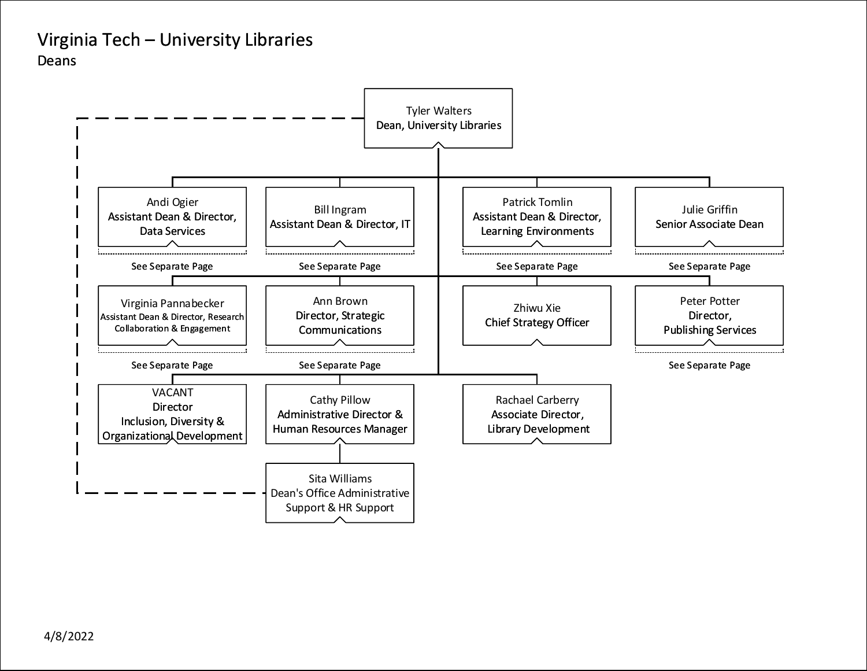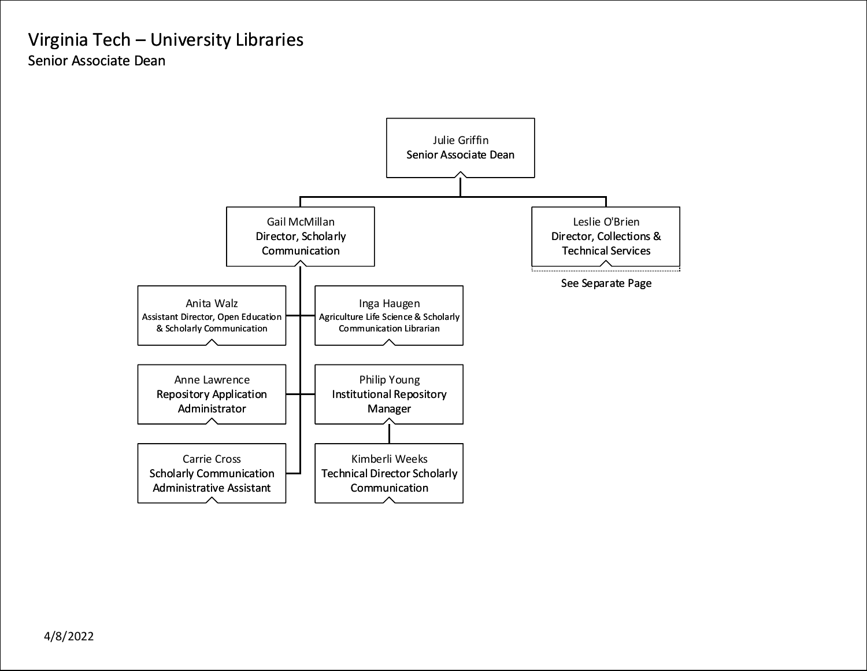#### <span id="page-1-0"></span>Virginia Tech – University Libraries Senior Associate Dean

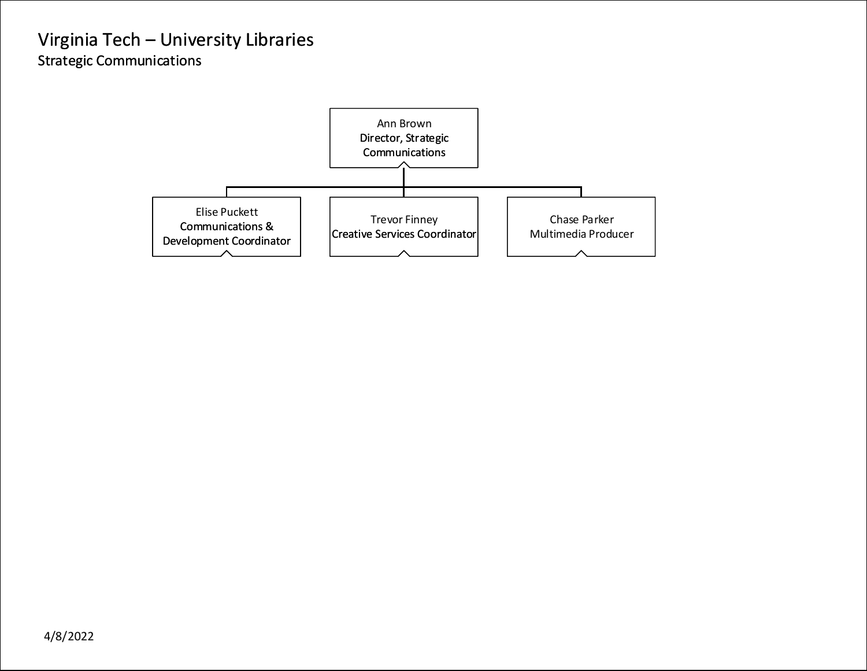## <span id="page-2-0"></span>Virginia Tech – University Libraries Strategic Communications

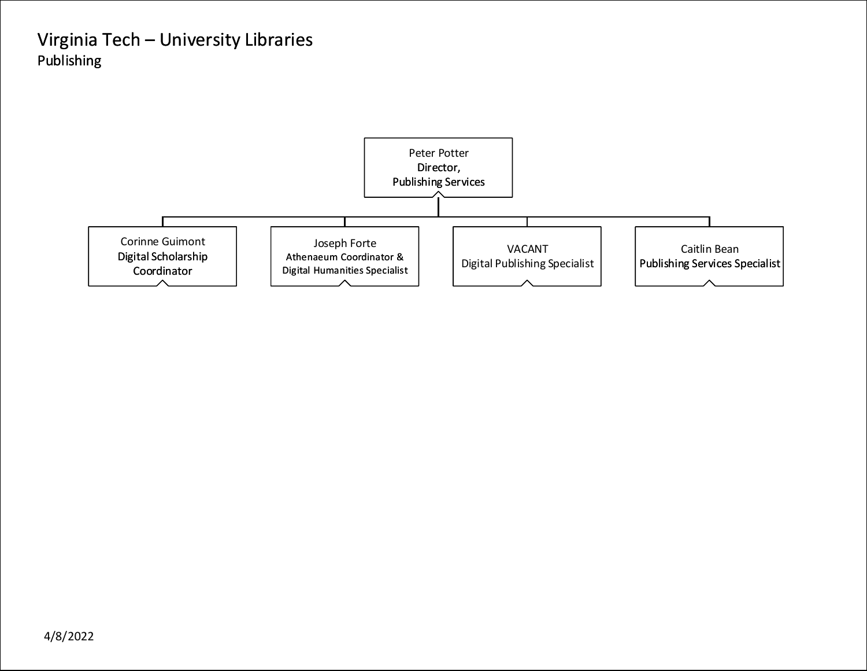## <span id="page-3-0"></span>Virginia Tech – University Libraries Publishing

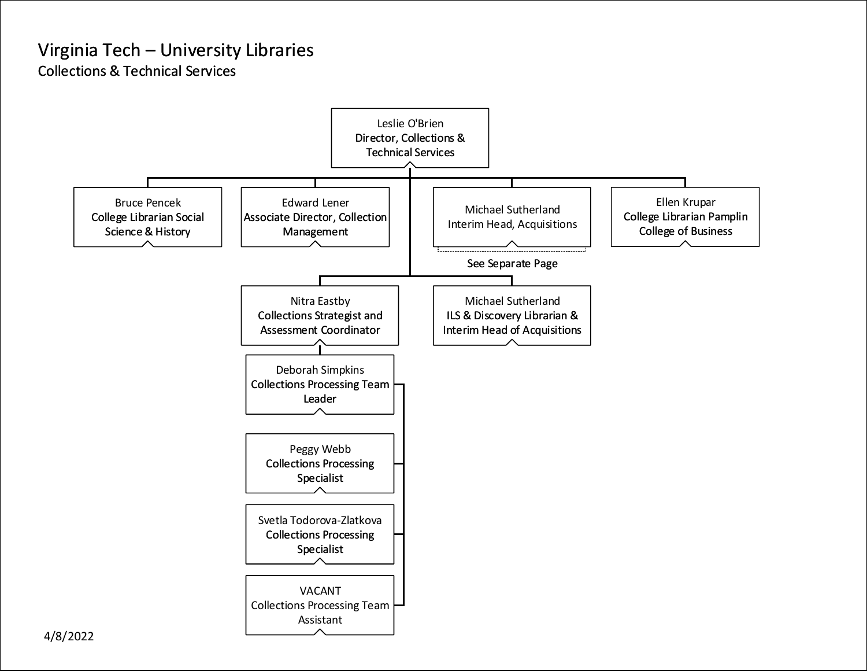<span id="page-4-0"></span>Collections & Technical Services

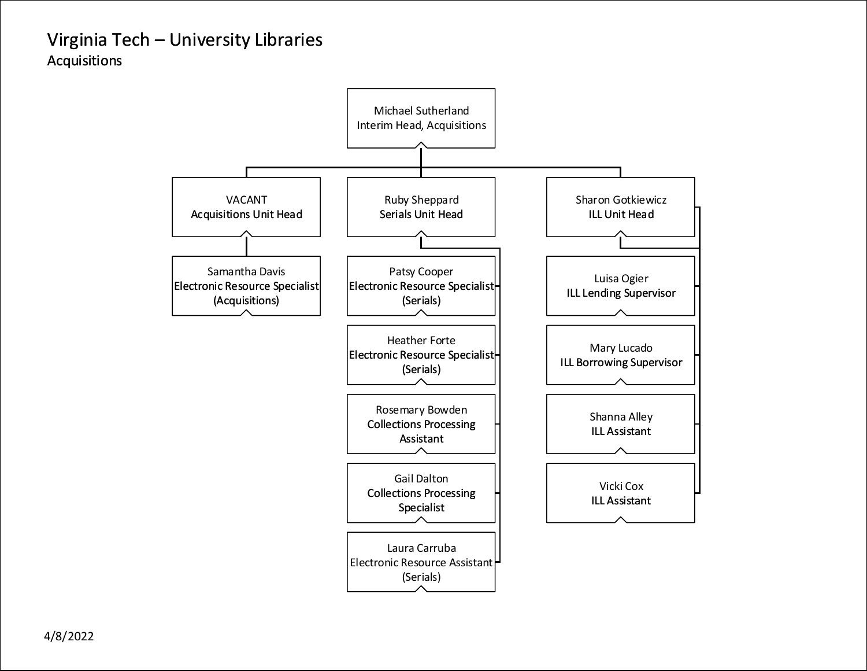## <span id="page-5-0"></span>Virginia Tech – University Libraries Acquisitions

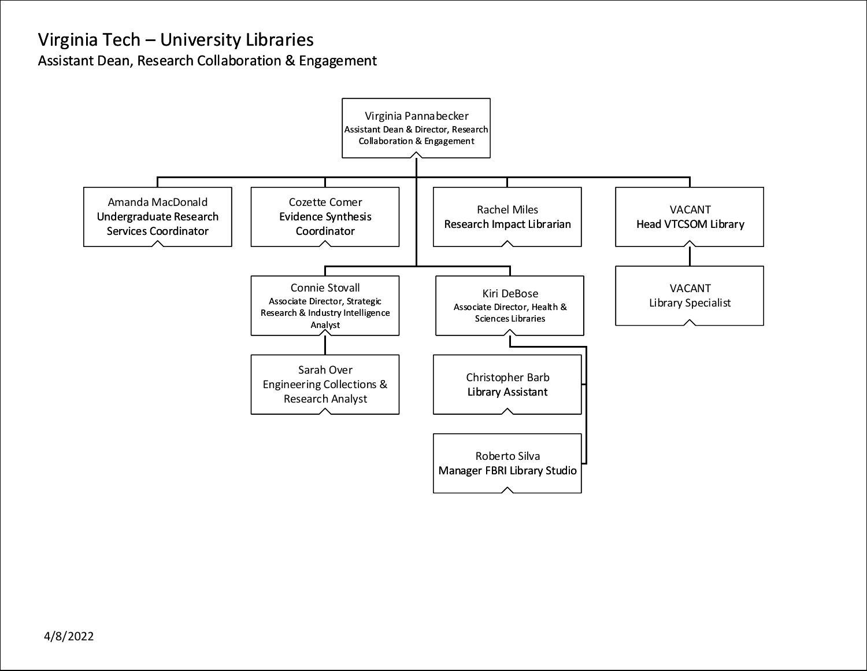<span id="page-6-0"></span>Assistant Dean, Research Collaboration & Engagement

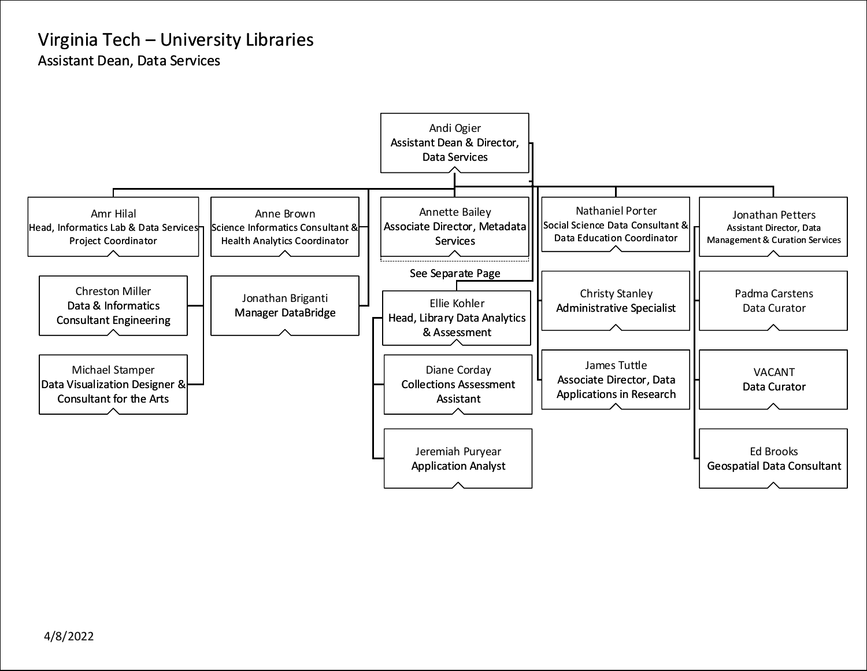<span id="page-7-0"></span>Assistant Dean, Data Services

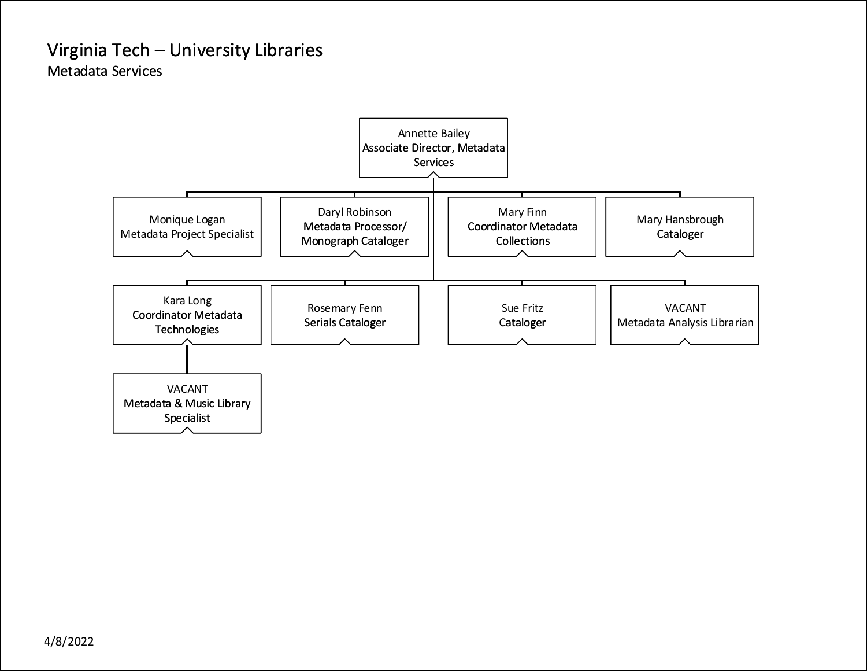### <span id="page-8-0"></span>Virginia Tech – University Libraries Metadata Services

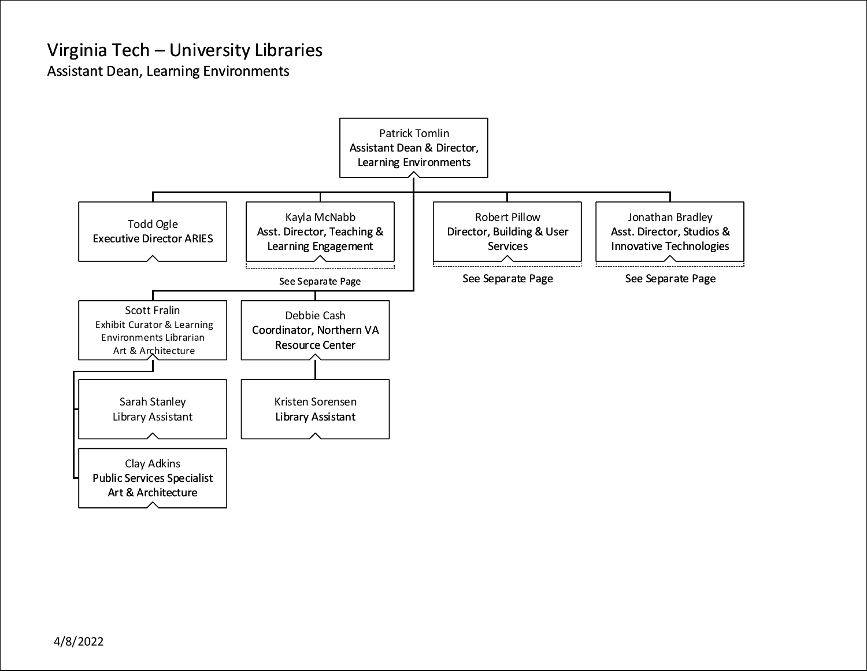<span id="page-9-0"></span>Assistant Dean, Learning Environments

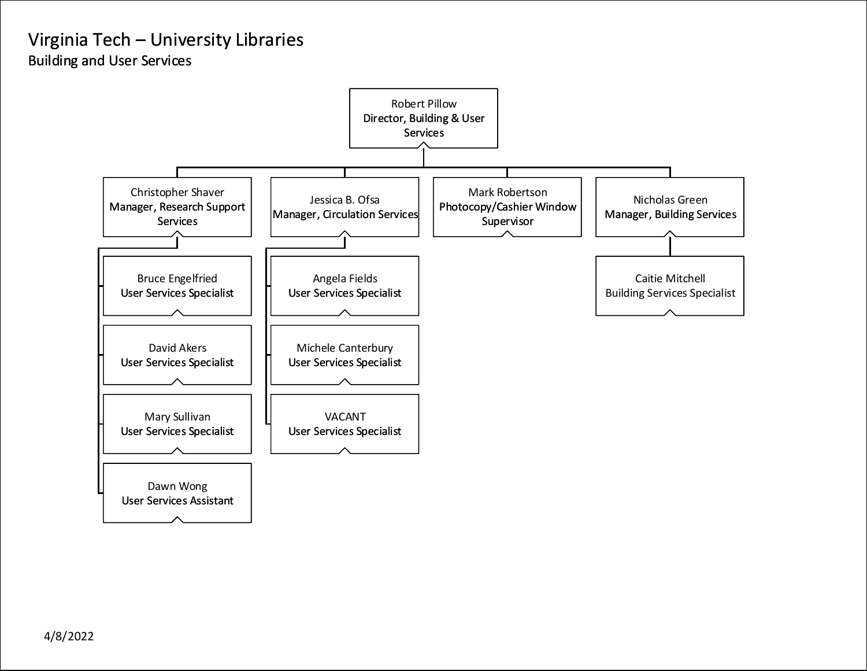## <span id="page-10-0"></span>Virginia Tech – University Libraries Building and User Services

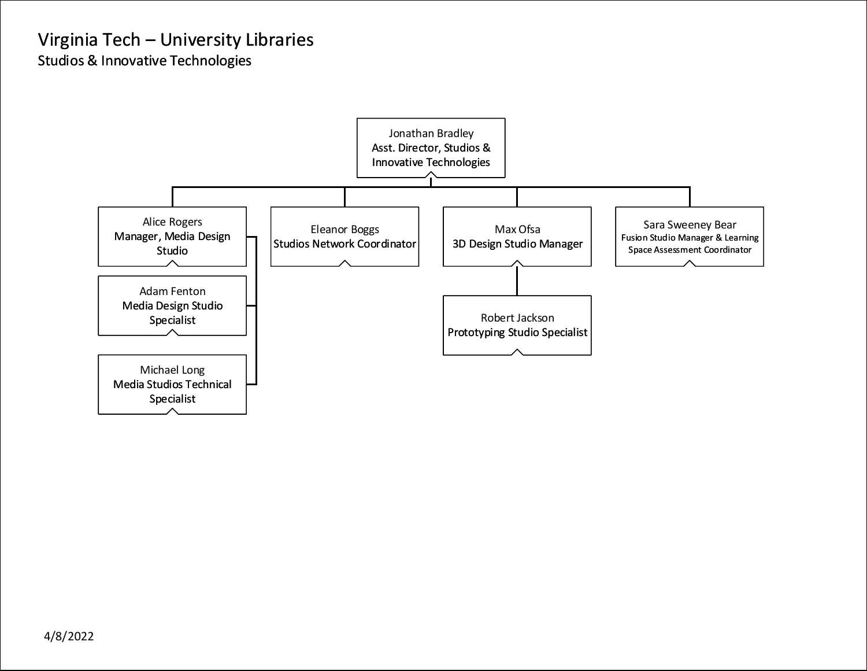<span id="page-11-0"></span>Studios & Innovative Technologies

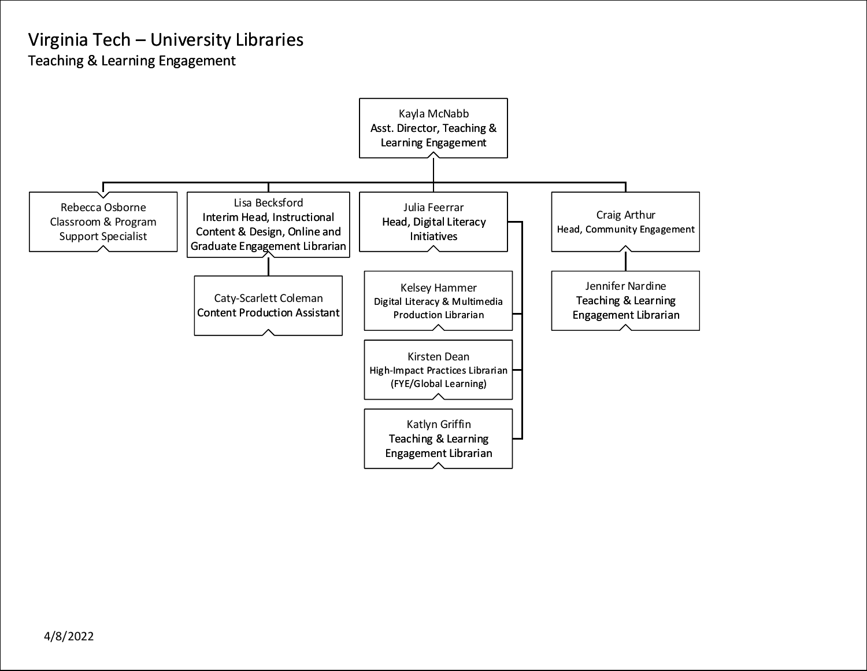<span id="page-12-0"></span>Teaching & Learning Engagement

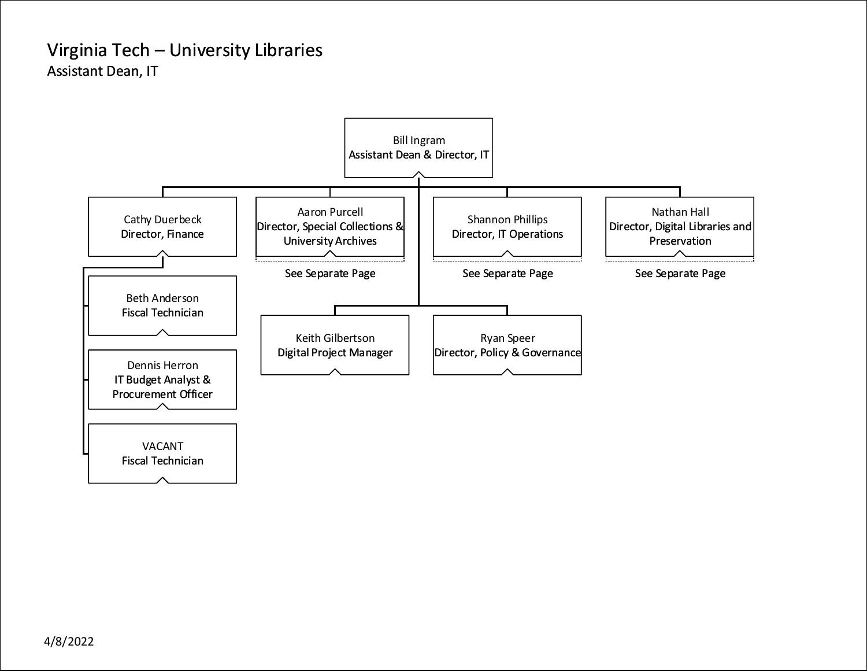### <span id="page-13-0"></span>Virginia Tech – University Libraries Assistant Dean, IT

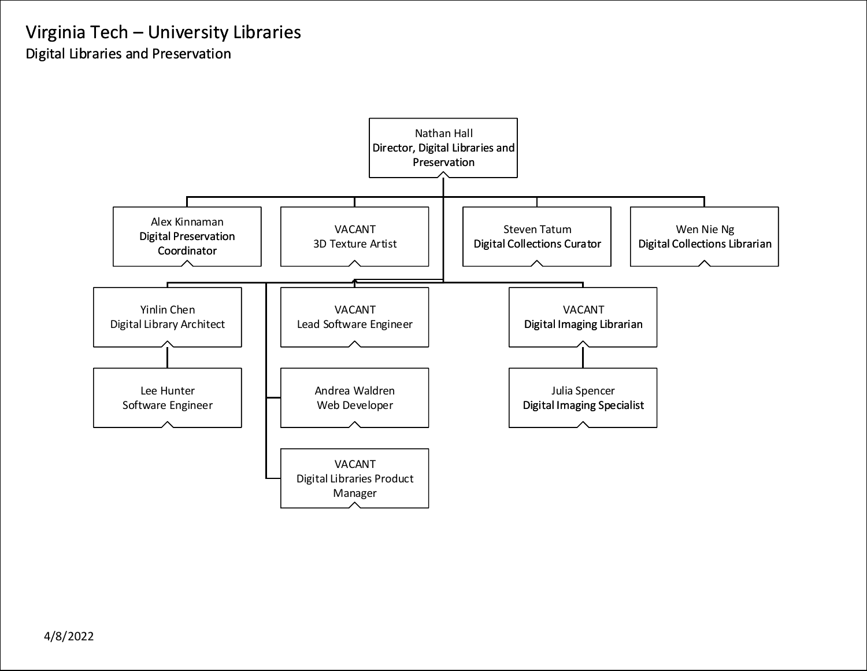## <span id="page-14-0"></span>Virginia Tech – University Libraries Digital Libraries and Preservation

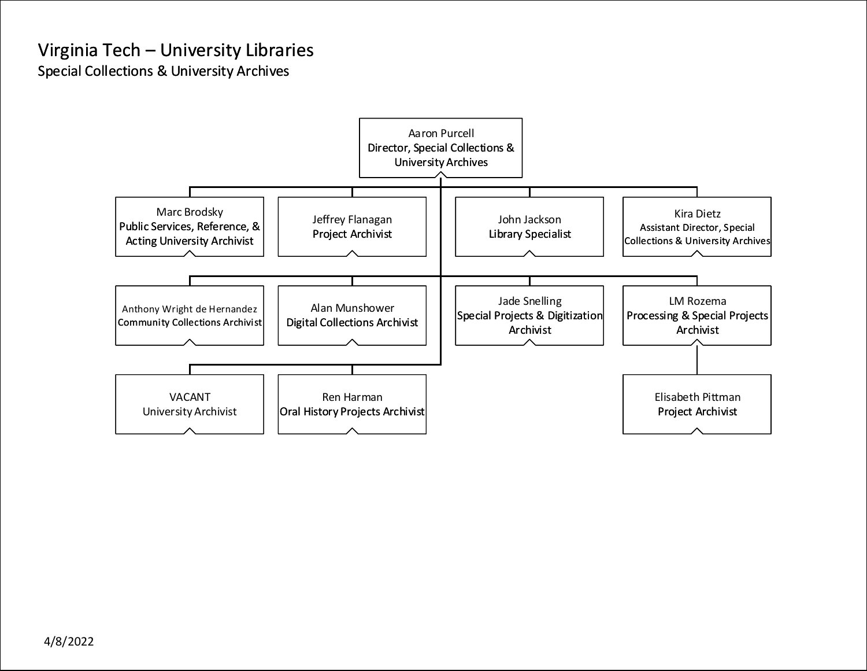### <span id="page-15-0"></span>Virginia Tech – University Libraries Special Collections & University Archives

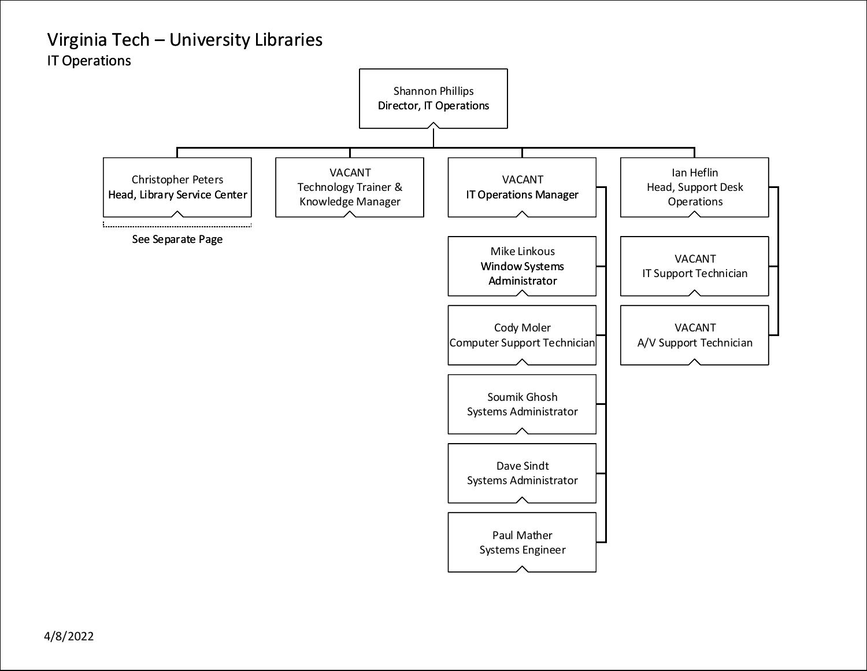## <span id="page-16-0"></span>Virginia Tech – University Libraries IT Operations